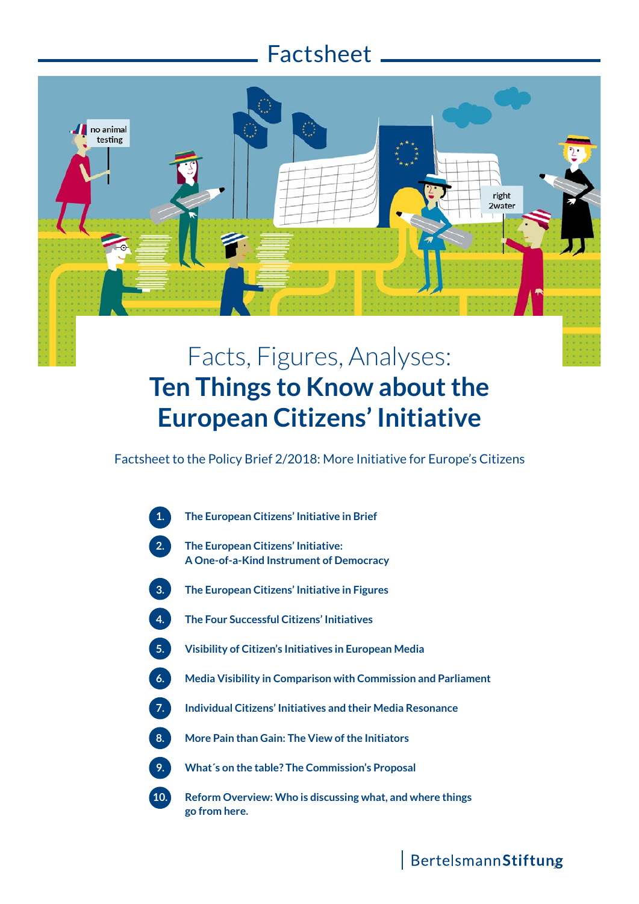# Factsheet

no animal testing

# Facts, Figures, Analyses: **Ten Things to Know about the European Citizens' Initiative**

Factsheet to the Policy Brief 2/2018: More Initiative for Europe's Citizens



#### BertelsmannStiftung

right 2water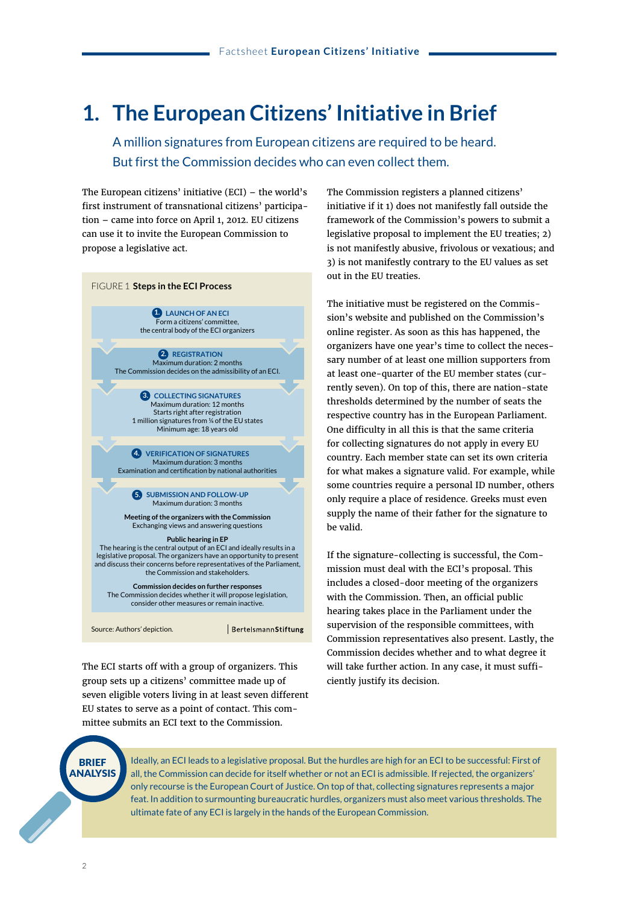### **1. The European Citizens' Initiative in Brief**

 A million signatures from European citizens are required to be heard. But first the Commission decides who can even collect them.

The European citizens' initiative (ECI) – the world's first instrument of transnational citizens' participation – came into force on April 1, 2012. EU citizens can use it to invite the European Commission to propose a legislative act.



BertelsmannStiftung

The ECI starts off with a group of organizers. This group sets up a citizens' committee made up of seven eligible voters living in at least seven different EU states to serve as a point of contact. This committee submits an ECI text to the Commission.

The Commission registers a planned citizens' initiative if it 1) does not manifestly fall outside the framework of the Commission's powers to submit a legislative proposal to implement the EU treaties; 2) is not manifestly abusive, frivolous or vexatious; and 3) is not manifestly contrary to the EU values as set out in the EU treaties.

The initiative must be registered on the Commission's website and published on the Commission's online register. As soon as this has happened, the organizers have one year's time to collect the necessary number of at least one million supporters from at least one-quarter of the EU member states (currently seven). On top of this, there are nation-state thresholds determined by the number of seats the respective country has in the European Parliament. One difficulty in all this is that the same criteria for collecting signatures do not apply in every EU country. Each member state can set its own criteria for what makes a signature valid. For example, while some countries require a personal ID number, others only require a place of residence. Greeks must even supply the name of their father for the signature to be valid.

If the signature-collecting is successful, the Commission must deal with the ECI's proposal. This includes a closed-door meeting of the organizers with the Commission. Then, an official public hearing takes place in the Parliament under the supervision of the responsible committees, with Commission representatives also present. Lastly, the Commission decides whether and to what degree it will take further action. In any case, it must sufficiently justify its decision.



Ideally, an ECI leads to a legislative proposal. But the hurdles are high for an ECI to be successful: First of all, the Commission can decide for itself whether or not an ECI is admissible. If rejected, the organizers' only recourse is the European Court of Justice. On top of that, collecting signatures represents a major feat. In addition to surmounting bureaucratic hurdles, organizers must also meet various thresholds. The ultimate fate of any ECI is largely in the hands of the European Commission.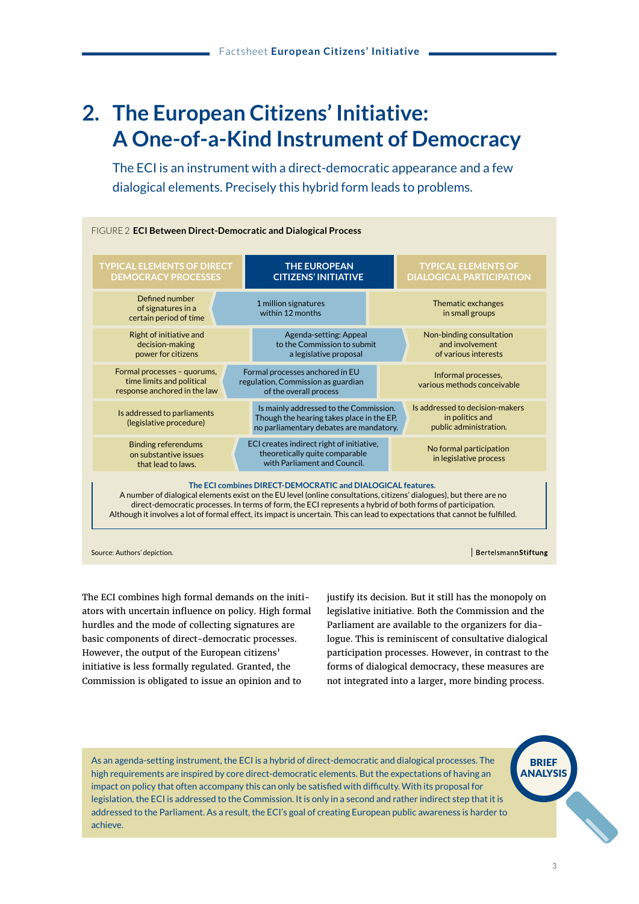## **2. The European Citizens' Initiative: A One-of-a-Kind Instrument of Democracy**

The ECI is an instrument with a direct-democratic appearance and a few dialogical elements. Precisely this hybrid form leads to problems.



Source: Authors' depiction.

BertelsmannStiftung

The ECI combines high formal demands on the initiators with uncertain influence on policy. High formal hurdles and the mode of collecting signatures are basic components of direct-democratic processes. However, the output of the European citizens' initiative is less formally regulated. Granted, the Commission is obligated to issue an opinion and to

justify its decision. But it still has the monopoly on legislative initiative. Both the Commission and the Parliament are available to the organizers for dialogue. This is reminiscent of consultative dialogical participation processes. However, in contrast to the forms of dialogical democracy, these measures are not integrated into a larger, more binding process.

As an agenda-setting instrument, the ECI is a hybrid of direct-democratic and dialogical processes. The high requirements are inspired by core direct-democratic elements. But the expectations of having an impact on policy that often accompany this can only be satisfied with difficulty. With its proposal for legislation, the ECI is addressed to the Commission. It is only in a second and rather indirect step that it is addressed to the Parliament. As a result, the ECI's goal of creating European public awareness is harder to achieve.

**BRIEF** ANALYSIS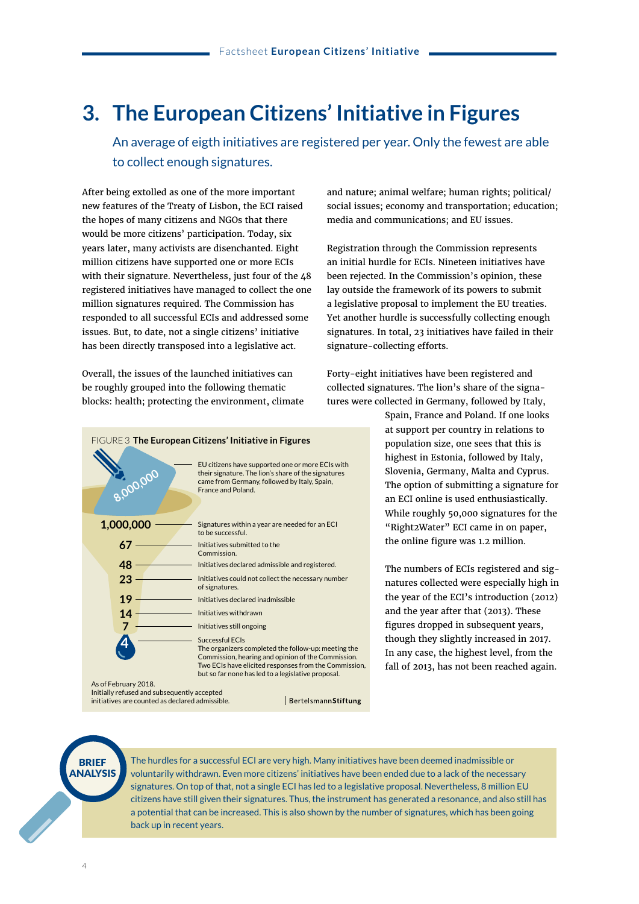### **3. The European Citizens' Initiative in Figures**

An average of eigth initiatives are registered per year. Only the fewest are able to collect enough signatures.

After being extolled as one of the more important new features of the Treaty of Lisbon, the ECI raised the hopes of many citizens and NGOs that there would be more citizens' participation. Today, six years later, many activists are disenchanted. Eight million citizens have supported one or more ECIs with their signature. Nevertheless, just four of the 48 registered initiatives have managed to collect the one million signatures required. The Commission has responded to all successful ECIs and addressed some issues. But, to date, not a single citizens' initiative has been directly transposed into a legislative act.

Overall, the issues of the launched initiatives can be roughly grouped into the following thematic blocks: health; protecting the environment, climate



Initially refused and subsequently accepted initiatives are counted as declared admissible.

and nature; animal welfare; human rights; political/ social issues; economy and transportation; education; media and communications; and EU issues.

Registration through the Commission represents an initial hurdle for ECIs. Nineteen initiatives have been rejected. In the Commission's opinion, these lay outside the framework of its powers to submit a legislative proposal to implement the EU treaties. Yet another hurdle is successfully collecting enough signatures. In total, 23 initiatives have failed in their signature-collecting efforts.

Forty-eight initiatives have been registered and collected signatures. The lion's share of the signatures were collected in Germany, followed by Italy,

> Spain, France and Poland. If one looks at support per country in relations to population size, one sees that this is highest in Estonia, followed by Italy, Slovenia, Germany, Malta and Cyprus. The option of submitting a signature for an ECI online is used enthusiastically. While roughly 50,000 signatures for the "Right2Water" ECI came in on paper, the online figure was 1.2 million.

> The numbers of ECIs registered and signatures collected were especially high in the year of the ECI's introduction (2012) and the year after that (2013). These figures dropped in subsequent years, though they slightly increased in 2017. In any case, the highest level, from the fall of 2013, has not been reached again.



The hurdles for a successful ECI are very high. Many initiatives have been deemed inadmissible or voluntarily withdrawn. Even more citizens' initiatives have been ended due to a lack of the necessary signatures. On top of that, not a single ECI has led to a legislative proposal. Nevertheless, 8 million EU citizens have still given their signatures. Thus, the instrument has generated a resonance, and also still has a potential that can be increased. This is also shown by the number of signatures, which has been going back up in recent years.

BertelsmannStiftung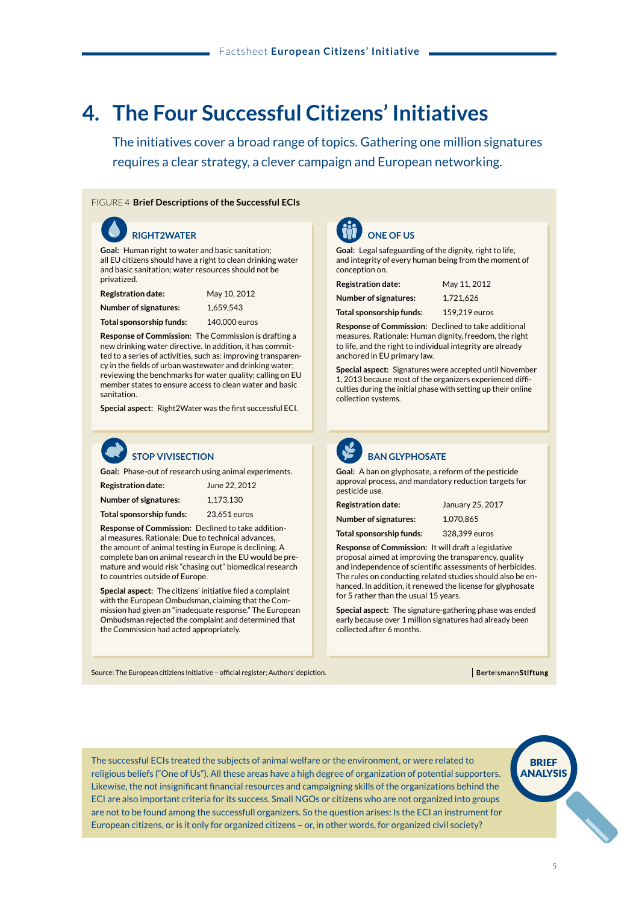## **4. The Four Successful Citizens' Initiatives**

 The initiatives cover a broad range of topics. Gathering one million signatures requires a clear strategy, a clever campaign and European networking.

#### FIGURE 4 **Brief Descriptions of the Successful ECIs**

 **RIGHT2WATER RIGHT2WATER Goal:** Human right to water and basic sanitation; all EU citizens should have a right to clean drinking water and basic sanitation; water resources should not be privatized.

| <b>Registration date:</b> | May 10, 2012 |
|---------------------------|--------------|
| Number of signatures:     | 1,659,543    |

**Summe Sponsorengelder:** 140.000 Euro **Total sponsorship funds:** 140,000 euros

**Response of Commission:** The Commission is drafting a new drinking water directive. In addition, it has committed to a series of activities, such as: improving transparency in the fields of urban wastewater and drinking water; reviewing the benchmarks for water quality; calling on EU member states to ensure access to clean water and basic auffation.<br>Sanitätion.

**Special aspect:** Right2Water was the first successful ECI.



**Goal:** Phase-out of research using animal experiments.

| <b>Registration date:</b>    | June 22, 2012 |
|------------------------------|---------------|
| <b>Number of signatures:</b> | 1.173.130     |
| Total sponsorship funds:     | 23.651 euros  |

**Response of Commission: Declined to take addition**al measures. Rationale: Due to technical advances, the amount of animal testing in Europe is declining. A complete ban on animal research in the EU would be premature and would risk "chasing out" biomedical research to countries outside of Europe.

**Special aspect:** The citizens' initiative filed a complaint with the European Ombudsman, claiming that the Commission had given an "inadequate response." The European Ombudsman rejected the complaint and determined that the Commission had acted appropriately.



#### **ONE OF US ONE OF US**

**Goal:** Legal safeguarding of the dignity, right to life, and integrity of every human being from the moment of conception on.

| <b>Registration date:</b>    | May 11, 2012  |
|------------------------------|---------------|
| <b>Number of signatures:</b> | 1.721.626     |
| Total sponsorship funds:     | 159,219 euros |

**Response of Commission:** Declined to take additional measures. Rationale: Human dignity, freedom, the right to life, and the right to individual integrity are already anchored in EU primary law.

**Special aspect:** Signatures were accepted until November 1, 2013 because most of the organizers experienced difficulties during the initial phase with setting up their online collection systems.



#### **BAN GLYPHOSATE**

**Goal:** A ban on glyphosate, a reform of the pesticide approval process, and mandatory reduction targets for pesticide use.

| <b>Registration date:</b>    | January 25, 2017            |
|------------------------------|-----------------------------|
| <b>Number of signatures:</b> | 1.070.865                   |
| _ _                          | $\sim$ $\sim$ $\sim$ $\sim$ |

**Summe Sponsorengelder:** 328.399 Euro **Total sponsorship funds:** 328,399 euros

**Response of Commission:** It will draft a legislative proposal aimed at improving the transparency, quality and independence of scientific assessments of herbicides. The rules on conducting related studies should also be enhanced. In addition, it renewed the license for glyphosate for 5 rather than the usual 15 years.

Zudem wurde die Zulassung von Glyphosat nur um Special aspect: The signature-gathering phase was ended **Best, die University of Dimmetrie, Calculation Control**<br>collected after 6 months. early because over 1 million signatures had already been

Source: The European citiziens Initiative – official register; Authors' depiction.

BertelsmannStiftung

The successful ECIs treated the subjects of animal welfare or the environment, or were related to religious beliefs ("One of Us"). All these areas have a high degree of organization of potential supporters. Likewise, the not insignificant financial resources and campaigning skills of the organizations behind the ECI are also important criteria for its success. Small NGOs or citizens who are not organized into groups are not to be found among the successfull organizers. So the question arises: Is the ECI an instrument for European citizens, or is it only for organized citizens – or, in other words, for organized civil society?

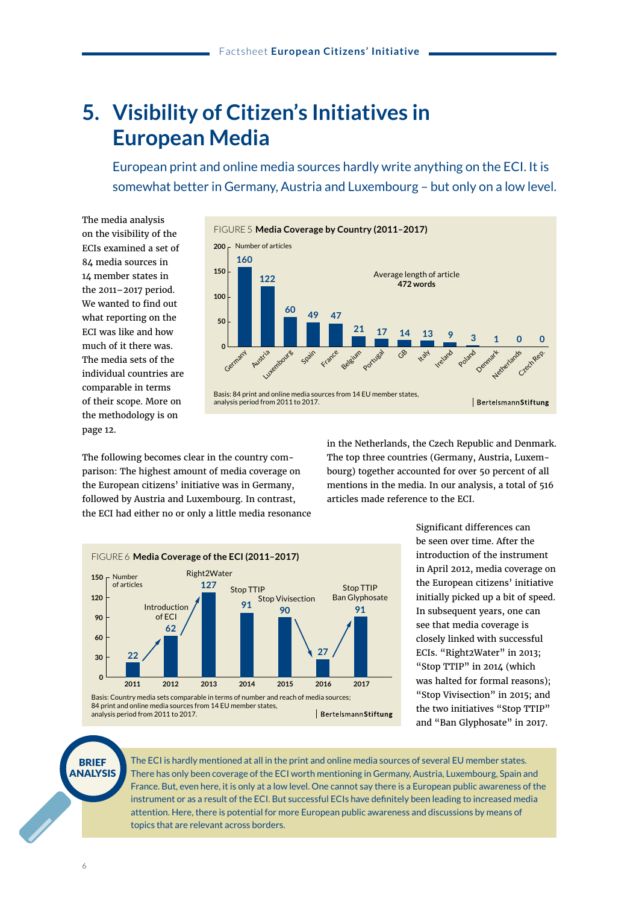### **5. Visibility of Citizen's Initiatives in European Media**

 European print and online media sources hardly write anything on the ECI. It is somewhat better in Germany, Austria and Luxembourg – but only on a low level.

The media analysis on the visibility of the ECIs examined a set of 84 media sources in 14 member states in the 2011–2017 period. We wanted to find out what reporting on the ECI was like and how much of it there was. The media sets of the individual countries are comparable in terms of their scope. More on the methodology is on page 12.



The following becomes clear in the country comparison: The highest amount of media coverage on the European citizens' initiative was in Germany, followed by Austria and Luxembourg. In contrast, the ECI had either no or only a little media resonance in the Netherlands, the Czech Republic and Denmark. The top three countries (Germany, Austria, Luxembourg) together accounted for over 50 percent of all mentions in the media. In our analysis, a total of 516 articles made reference to the ECI.



Significant differences can be seen over time. After the introduction of the instrument in April 2012, media coverage on the European citizens' initiative initially picked up a bit of speed. In subsequent years, one can see that media coverage is closely linked with successful ECIs. "Right2Water" in 2013; "Stop TTIP" in 2014 (which was halted for formal reasons); "Stop Vivisection" in 2015; and the two initiatives "Stop TTIP" and "Ban Glyphosate" in 2017.



The ECI is hardly mentioned at all in the print and online media sources of several EU member states. There has only been coverage of the ECI worth mentioning in Germany, Austria, Luxembourg, Spain and France. But, even here, it is only at a low level. One cannot say there is a European public awareness of the instrument or as a result of the ECI. But successful ECIs have definitely been leading to increased media attention. Here, there is potential for more European public awareness and discussions by means of topics that are relevant across borders.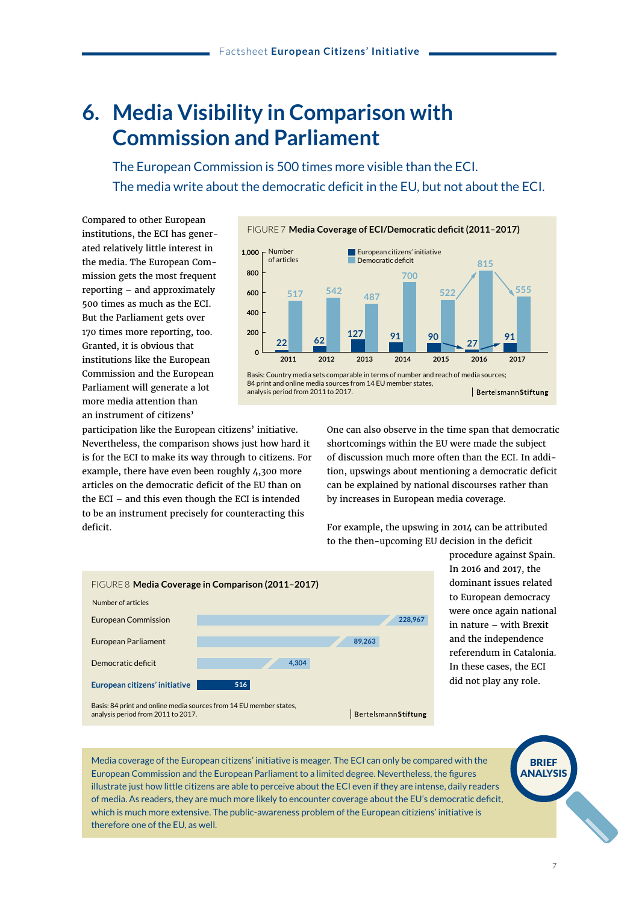### **6. Media Visibility in Comparison with Commission and Parliament**

 The European Commission is 500 times more visible than the ECI. The media write about the democratic deficit in the EU, but not about the ECI.

Compared to other European institutions, the ECI has generated relatively little interest in the media. The European Commission gets the most frequent reporting – and approximately 500 times as much as the ECI. But the Parliament gets over 170 times more reporting, too. Granted, it is obvious that institutions like the European Commission and the European Parliament will generate a lot more media attention than an instrument of citizens'



participation like the European citizens' initiative. Nevertheless, the comparison shows just how hard it is for the ECI to make its way through to citizens. For example, there have even been roughly 4,300 more articles on the democratic deficit of the EU than on the ECI – and this even though the ECI is intended to be an instrument precisely for counteracting this deficit.

One can also observe in the time span that democratic shortcomings within the EU were made the subject of discussion much more often than the ECI. In addition, upswings about mentioning a democratic deficit can be explained by national discourses rather than by increases in European media coverage.

For example, the upswing in 2014 can be attributed to the then-upcoming EU decision in the deficit



procedure against Spain. In 2016 and 2017, the dominant issues related to European democracy were once again national in nature – with Brexit and the independence referendum in Catalonia. In these cases, the ECI did not play any role.

Media coverage of the European citizens' initiative is meager. The ECI can only be compared with the European Commission and the European Parliament to a limited degree. Nevertheless, the figures illustrate just how little citizens are able to perceive about the ECI even if they are intense, daily readers of media. As readers, they are much more likely to encounter coverage about the EU's democratic deficit, which is much more extensive. The public-awareness problem of the European citiziens' initiative is therefore one of the EU, as well.

BRIEF ANALYSIS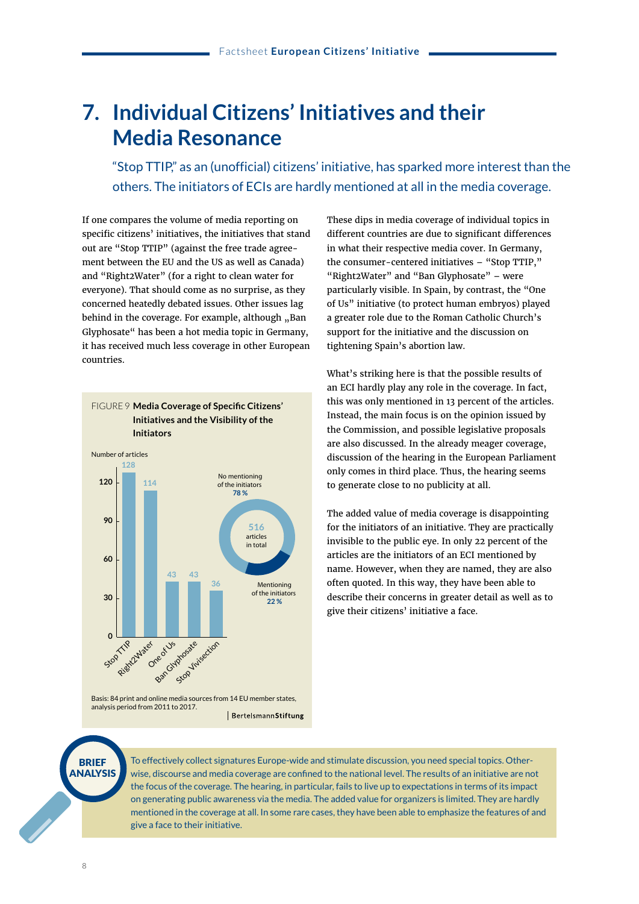#### **7. Individual Citizens' Initiatives and their Media Resonance**

 "Stop TTIP," as an (unofficial) citizens' initiative, has sparked more interest than the others. The initiators of ECIs are hardly mentioned at all in the media coverage.

If one compares the volume of media reporting on specific citizens' initiatives, the initiatives that stand out are "Stop TTIP" (against the free trade agreement between the EU and the US as well as Canada) and "Right2Water" (for a right to clean water for everyone). That should come as no surprise, as they concerned heatedly debated issues. Other issues lag behind in the coverage. For example, although "Ban Glyphosate" has been a hot media topic in Germany, it has received much less coverage in other European countries.



Basis: 84 print and online media sources from 14 EU member states, analysis period from 2011 to 2017. BertelsmannStiftung These dips in media coverage of individual topics in different countries are due to significant differences in what their respective media cover. In Germany, the consumer-centered initiatives – "Stop TTIP," "Right2Water" and "Ban Glyphosate" – were particularly visible. In Spain, by contrast, the "One of Us" initiative (to protect human embryos) played a greater role due to the Roman Catholic Church's support for the initiative and the discussion on tightening Spain's abortion law.

What's striking here is that the possible results of an ECI hardly play any role in the coverage. In fact, this was only mentioned in 13 percent of the articles. Instead, the main focus is on the opinion issued by the Commission, and possible legislative proposals are also discussed. In the already meager coverage, discussion of the hearing in the European Parliament only comes in third place. Thus, the hearing seems to generate close to no publicity at all.

The added value of media coverage is disappointing for the initiators of an initiative. They are practically invisible to the public eye. In only 22 percent of the articles are the initiators of an ECI mentioned by name. However, when they are named, they are also often quoted. In this way, they have been able to describe their concerns in greater detail as well as to give their citizens' initiative a face.



To effectively collect signatures Europe-wide and stimulate discussion, you need special topics. Otherwise, discourse and media coverage are confined to the national level. The results of an initiative are not the focus of the coverage. The hearing, in particular, fails to live up to expectations in terms of its impact on generating public awareness via the media. The added value for organizers is limited. They are hardly mentioned in the coverage at all. In some rare cases, they have been able to emphasize the features of and give a face to their initiative.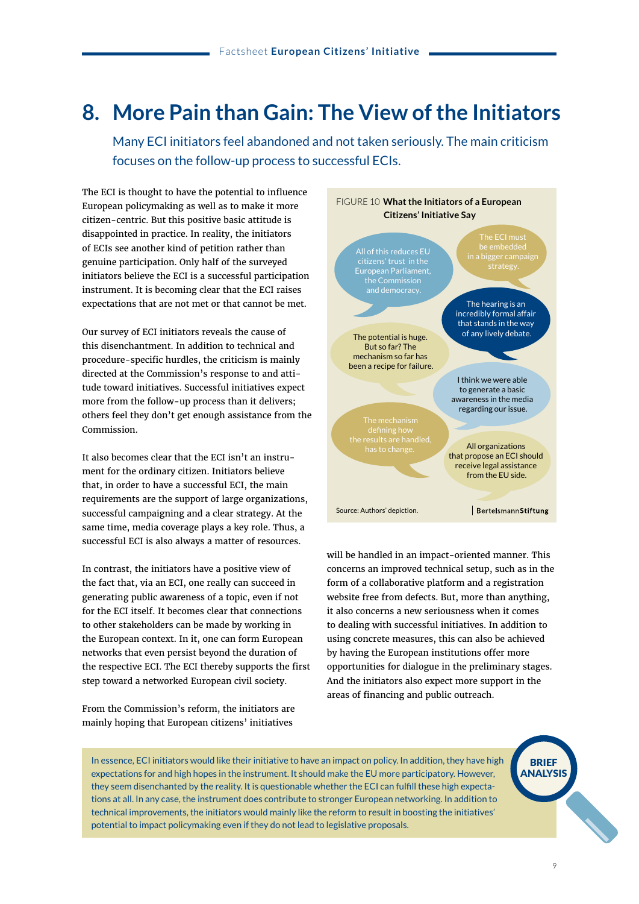### **8. More Pain than Gain: The View of the Initiators**

Many ECI initiators feel abandoned and not taken seriously. The main criticism focuses on the follow-up process to successful ECIs.

The ECI is thought to have the potential to influence European policymaking as well as to make it more citizen-centric. But this positive basic attitude is disappointed in practice. In reality, the initiators of ECIs see another kind of petition rather than genuine participation. Only half of the surveyed initiators believe the ECI is a successful participation instrument. It is becoming clear that the ECI raises expectations that are not met or that cannot be met.

Our survey of ECI initiators reveals the cause of this disenchantment. In addition to technical and procedure-specific hurdles, the criticism is mainly directed at the Commission's response to and attitude toward initiatives. Successful initiatives expect more from the follow-up process than it delivers; others feel they don't get enough assistance from the Commission.

It also becomes clear that the ECI isn't an instrument for the ordinary citizen. Initiators believe that, in order to have a successful ECI, the main requirements are the support of large organizations, successful campaigning and a clear strategy. At the same time, media coverage plays a key role. Thus, a successful ECI is also always a matter of resources.

In contrast, the initiators have a positive view of the fact that, via an ECI, one really can succeed in generating public awareness of a topic, even if not for the ECI itself. It becomes clear that connections to other stakeholders can be made by working in the European context. In it, one can form European networks that even persist beyond the duration of the respective ECI. The ECI thereby supports the first step toward a networked European civil society.

From the Commission's reform, the initiators are mainly hoping that European citizens' initiatives



will be handled in an impact-oriented manner. This concerns an improved technical setup, such as in the form of a collaborative platform and a registration website free from defects. But, more than anything, it also concerns a new seriousness when it comes to dealing with successful initiatives. In addition to using concrete measures, this can also be achieved by having the European institutions offer more opportunities for dialogue in the preliminary stages. And the initiators also expect more support in the areas of financing and public outreach.

In essence, ECI initiators would like their initiative to have an impact on policy. In addition, they have high expectations for and high hopes in the instrument. It should make the EU more participatory. However, they seem disenchanted by the reality. It is questionable whether the ECI can fulfill these high expectations at all. In any case, the instrument does contribute to stronger European networking. In addition to technical improvements, the initiators would mainly like the reform to result in boosting the initiatives' potential to impact policymaking even if they do not lead to legislative proposals.

BRIEF ANALYSIS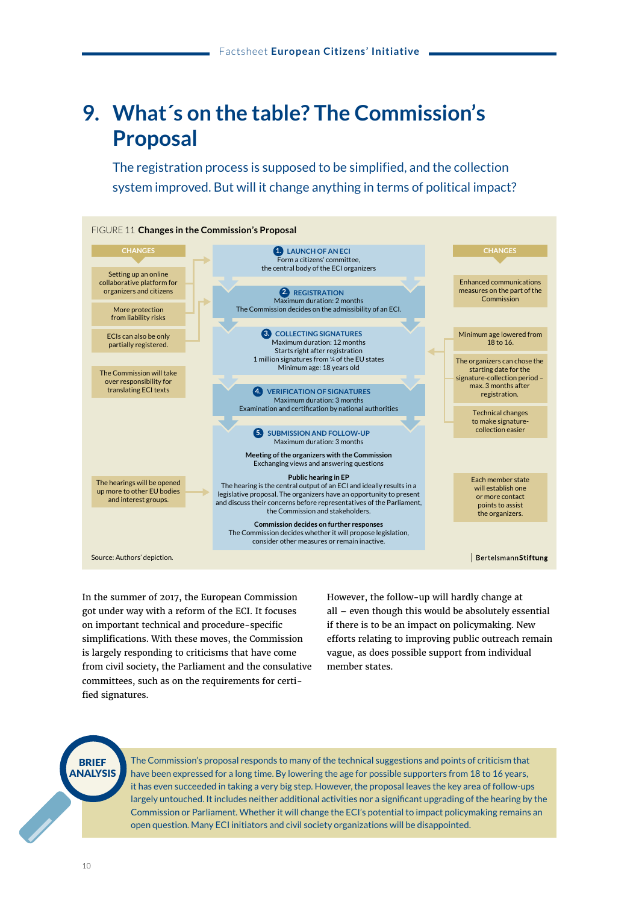### **9. What´s on the table? The Commission's Proposal**

 The registration process is supposed to be simplified, and the collection system improved. But will it change anything in terms of political impact?



In the summer of 2017, the European Commission got under way with a reform of the ECI. It focuses on important technical and procedure-specific simplifications. With these moves, the Commission is largely responding to criticisms that have come from civil society, the Parliament and the consulative committees, such as on the requirements for certified signatures.

However, the follow-up will hardly change at all – even though this would be absolutely essential if there is to be an impact on policymaking. New efforts relating to improving public outreach remain vague, as does possible support from individual member states.

**BRIEF** ANALYSIS

The Commission's proposal responds to many of the technical suggestions and points of criticism that have been expressed for a long time. By lowering the age for possible supporters from 18 to 16 years, it has even succeeded in taking a very big step. However, the proposal leaves the key area of follow-ups largely untouched. It includes neither additional activities nor a significant upgrading of the hearing by the Commission or Parliament. Whether it will change the ECI's potential to impact policymaking remains an open question. Many ECI initiators and civil society organizations will be disappointed.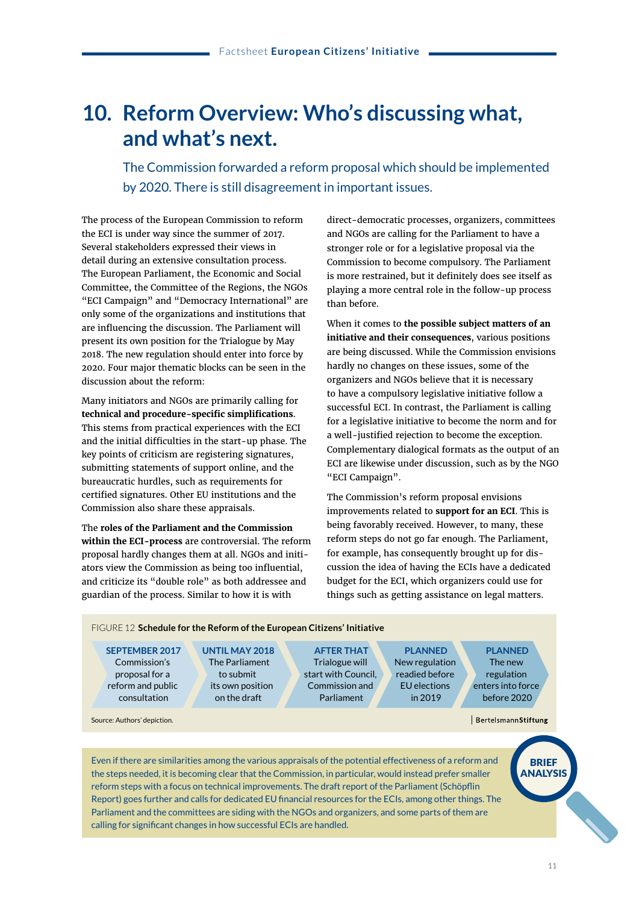### **10. Reform Overview: Who's discussing what, and what's next.**

 The Commission forwarded a reform proposal which should be implemented by 2020. There is still disagreement in important issues.

The process of the European Commission to reform the ECI is under way since the summer of 2017. Several stakeholders expressed their views in detail during an extensive consultation process. The European Parliament, the Economic and Social Committee, the Committee of the Regions, the NGOs "ECI Campaign" and "Democracy International" are only some of the organizations and institutions that are influencing the discussion. The Parliament will present its own position for the Trialogue by May 2018. The new regulation should enter into force by 2020. Four major thematic blocks can be seen in the discussion about the reform:

Many initiators and NGOs are primarily calling for **technical and procedure-specific simplifications**. This stems from practical experiences with the ECI and the initial difficulties in the start-up phase. The key points of criticism are registering signatures, submitting statements of support online, and the bureaucratic hurdles, such as requirements for certified signatures. Other EU institutions and the Commission also share these appraisals.

The **roles of the Parliament and the Commission within the ECI-process** are controversial. The reform proposal hardly changes them at all. NGOs and initiators view the Commission as being too influential, and criticize its "double role" as both addressee and guardian of the process. Similar to how it is with

direct-democratic processes, organizers, committees and NGOs are calling for the Parliament to have a stronger role or for a legislative proposal via the Commission to become compulsory. The Parliament is more restrained, but it definitely does see itself as playing a more central role in the follow-up process than before.

When it comes to **the possible subject matters of an initiative and their consequences**, various positions are being discussed. While the Commission envisions hardly no changes on these issues, some of the organizers and NGOs believe that it is necessary to have a compulsory legislative initiative follow a successful ECI. In contrast, the Parliament is calling for a legislative initiative to become the norm and for a well-justified rejection to become the exception. Complementary dialogical formats as the output of an ECI are likewise under discussion, such as by the NGO "ECI Campaign".

The Commission's reform proposal envisions improvements related to **support for an ECI**. This is being favorably received. However, to many, these reform steps do not go far enough. The Parliament, for example, has consequently brought up for discussion the idea of having the ECIs have a dedicated budget for the ECI, which organizers could use for things such as getting assistance on legal matters.

FIGURE 12 **Schedule for the Reform of the European Citizens' Initiative**

**SEPTEMBER 2017** Commission's proposal for a reform and public consultation

Source: Authors' depiction.

**UNTIL MAY 2018** The Parliament to submit its own position on the draft

**AFTER THAT** Trialogue will start with Council, Commission and Parliament

**PLANNED** New regulation readied before EU elections in 2019

**PLANNED** The new regulation enters into force before 2020

BertelsmannStiftung

Even if there are similarities among the various appraisals of the potential effectiveness of a reform and the steps needed, it is becoming clear that the Commission, in particular, would instead prefer smaller reform steps with a focus on technical improvements. The draft report of the Parliament (Schöpflin Report) goes further and calls for dedicated EU financial resources for the ECIs, among other things. The Parliament and the committees are siding with the NGOs and organizers, and some parts of them are calling for significant changes in how successful ECIs are handled.

**BRIEF** ANALYSIS